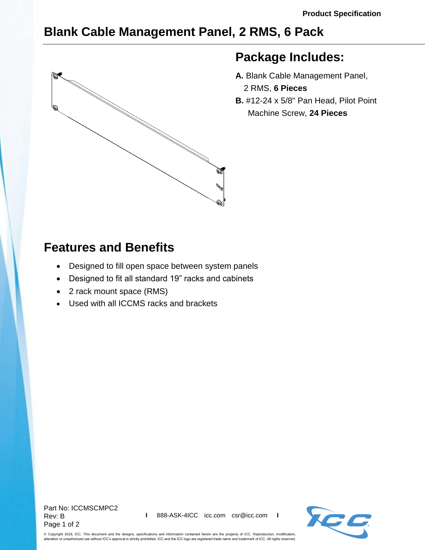## **Blank Cable Management Panel, 2 RMS, 6 Pack**



## **Package Includes:**

- **A.** Blank Cable Management Panel, 2 RMS, **6 Pieces**
- **B.** #12-24 x 5/8" Pan Head, Pilot Point Machine Screw, **24 Pieces**

## **Features and Benefits**

- Designed to fill open space between system panels
- Designed to fit all standard 19" racks and cabinets
- 2 rack mount space (RMS)
- Used with all ICCMS racks and brackets



© Copyright 2018, ICC. This document and the designs, specifications and information contained herein are the property of ICC. Reproduction, modification, alteration or unauthorized use without ICC's approval is strictly prohibited. ICC and the ICC logo are registered trade name and trademark of ICC. All rights reserved.